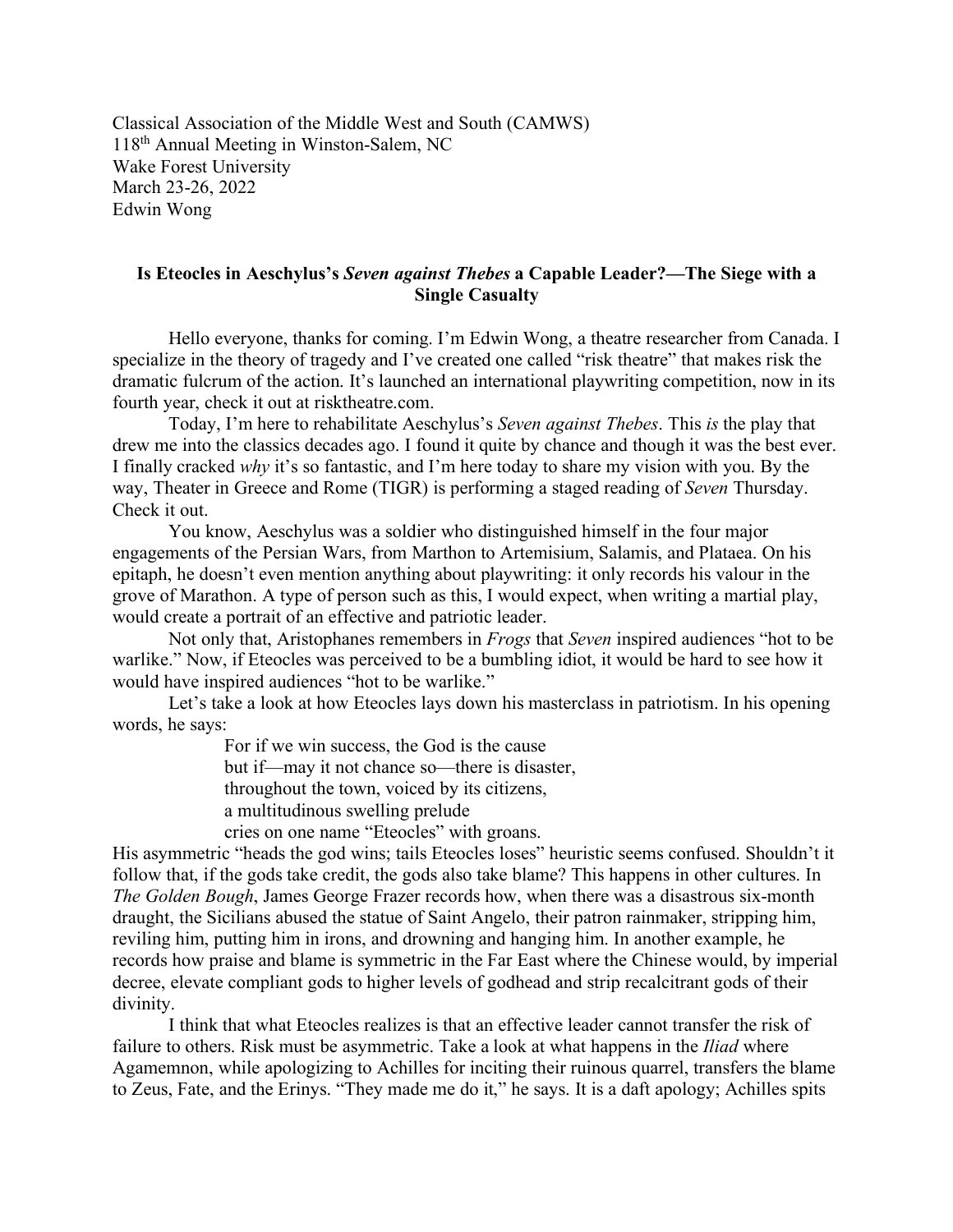Classical Association of the Middle West and South (CAMWS) 118th Annual Meeting in Winston-Salem, NC Wake Forest University March 23-26, 2022 Edwin Wong

## **Is Eteocles in Aeschylus's** *Seven against Thebes* **a Capable Leader?—The Siege with a Single Casualty**

Hello everyone, thanks for coming. I'm Edwin Wong, a theatre researcher from Canada. I specialize in the theory of tragedy and I've created one called "risk theatre" that makes risk the dramatic fulcrum of the action. It's launched an international playwriting competition, now in its fourth year, check it out at risktheatre.com.

Today, I'm here to rehabilitate Aeschylus's *Seven against Thebes*. This *is* the play that drew me into the classics decades ago. I found it quite by chance and though it was the best ever. I finally cracked *why* it's so fantastic, and I'm here today to share my vision with you. By the way, Theater in Greece and Rome (TIGR) is performing a staged reading of *Seven* Thursday. Check it out.

You know, Aeschylus was a soldier who distinguished himself in the four major engagements of the Persian Wars, from Marthon to Artemisium, Salamis, and Plataea. On his epitaph, he doesn't even mention anything about playwriting: it only records his valour in the grove of Marathon. A type of person such as this, I would expect, when writing a martial play, would create a portrait of an effective and patriotic leader.

Not only that, Aristophanes remembers in *Frogs* that *Seven* inspired audiences "hot to be warlike." Now, if Eteocles was perceived to be a bumbling idiot, it would be hard to see how it would have inspired audiences "hot to be warlike."

Let's take a look at how Eteocles lays down his masterclass in patriotism. In his opening words, he says:

> For if we win success, the God is the cause but if—may it not chance so—there is disaster, throughout the town, voiced by its citizens, a multitudinous swelling prelude

cries on one name "Eteocles" with groans.

His asymmetric "heads the god wins; tails Eteocles loses" heuristic seems confused. Shouldn't it follow that, if the gods take credit, the gods also take blame? This happens in other cultures. In *The Golden Bough*, James George Frazer records how, when there was a disastrous six-month draught, the Sicilians abused the statue of Saint Angelo, their patron rainmaker, stripping him, reviling him, putting him in irons, and drowning and hanging him. In another example, he records how praise and blame is symmetric in the Far East where the Chinese would, by imperial decree, elevate compliant gods to higher levels of godhead and strip recalcitrant gods of their divinity.

I think that what Eteocles realizes is that an effective leader cannot transfer the risk of failure to others. Risk must be asymmetric. Take a look at what happens in the *Iliad* where Agamemnon, while apologizing to Achilles for inciting their ruinous quarrel, transfers the blame to Zeus, Fate, and the Erinys. "They made me do it," he says. It is a daft apology; Achilles spits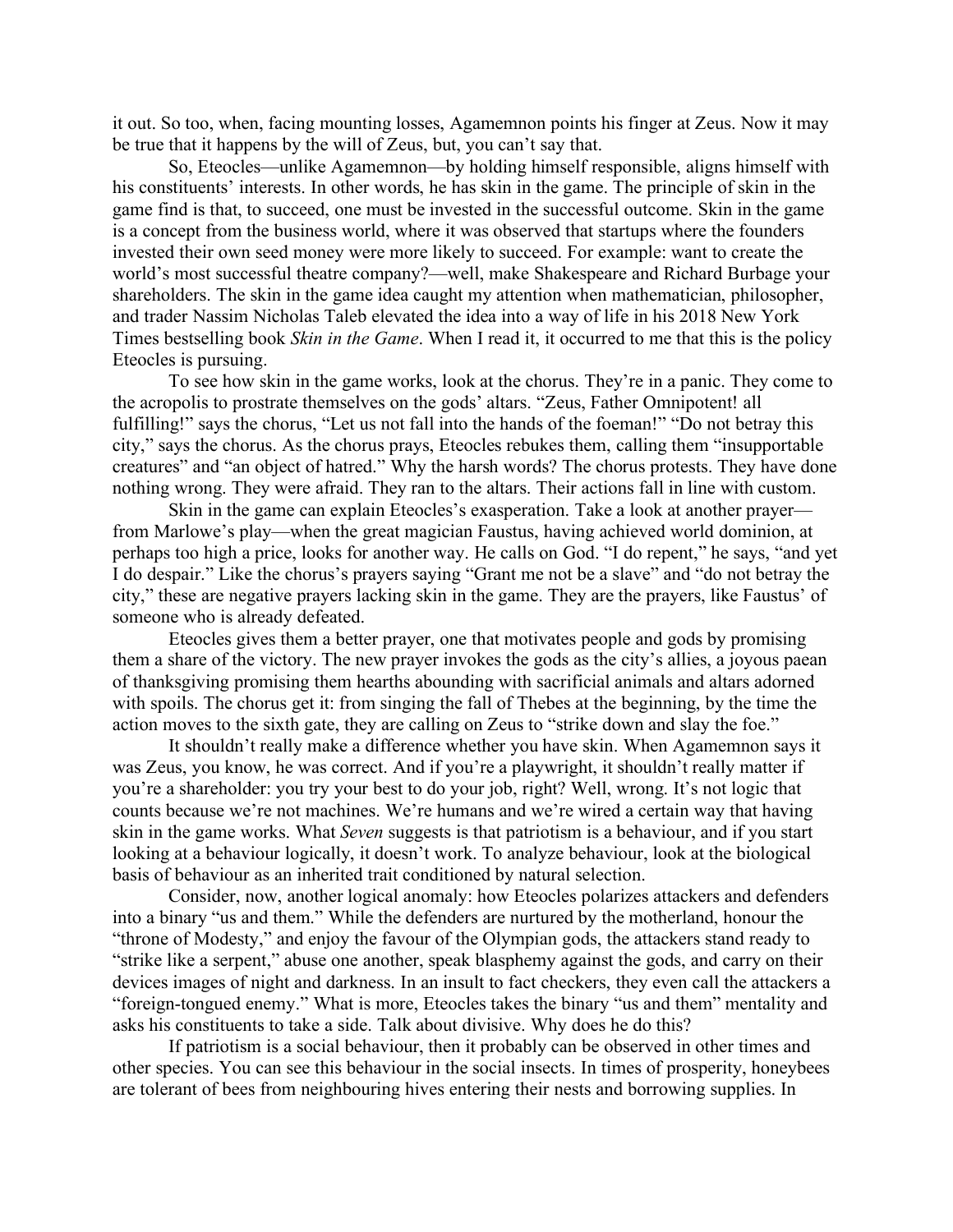it out. So too, when, facing mounting losses, Agamemnon points his finger at Zeus. Now it may be true that it happens by the will of Zeus, but, you can't say that.

So, Eteocles—unlike Agamemnon—by holding himself responsible, aligns himself with his constituents' interests. In other words, he has skin in the game. The principle of skin in the game find is that, to succeed, one must be invested in the successful outcome. Skin in the game is a concept from the business world, where it was observed that startups where the founders invested their own seed money were more likely to succeed. For example: want to create the world's most successful theatre company?—well, make Shakespeare and Richard Burbage your shareholders. The skin in the game idea caught my attention when mathematician, philosopher, and trader Nassim Nicholas Taleb elevated the idea into a way of life in his 2018 New York Times bestselling book *Skin in the Game*. When I read it, it occurred to me that this is the policy Eteocles is pursuing.

To see how skin in the game works, look at the chorus. They're in a panic. They come to the acropolis to prostrate themselves on the gods' altars. "Zeus, Father Omnipotent! all fulfilling!" says the chorus, "Let us not fall into the hands of the foeman!" "Do not betray this city," says the chorus. As the chorus prays, Eteocles rebukes them, calling them "insupportable creatures" and "an object of hatred." Why the harsh words? The chorus protests. They have done nothing wrong. They were afraid. They ran to the altars. Their actions fall in line with custom.

Skin in the game can explain Eteocles's exasperation. Take a look at another prayer from Marlowe's play—when the great magician Faustus, having achieved world dominion, at perhaps too high a price, looks for another way. He calls on God. "I do repent," he says, "and yet I do despair." Like the chorus's prayers saying "Grant me not be a slave" and "do not betray the city," these are negative prayers lacking skin in the game. They are the prayers, like Faustus' of someone who is already defeated.

Eteocles gives them a better prayer, one that motivates people and gods by promising them a share of the victory. The new prayer invokes the gods as the city's allies, a joyous paean of thanksgiving promising them hearths abounding with sacrificial animals and altars adorned with spoils. The chorus get it: from singing the fall of Thebes at the beginning, by the time the action moves to the sixth gate, they are calling on Zeus to "strike down and slay the foe."

It shouldn't really make a difference whether you have skin. When Agamemnon says it was Zeus, you know, he was correct. And if you're a playwright, it shouldn't really matter if you're a shareholder: you try your best to do your job, right? Well, wrong. It's not logic that counts because we're not machines. We're humans and we're wired a certain way that having skin in the game works. What *Seven* suggests is that patriotism is a behaviour, and if you start looking at a behaviour logically, it doesn't work. To analyze behaviour, look at the biological basis of behaviour as an inherited trait conditioned by natural selection.

Consider, now, another logical anomaly: how Eteocles polarizes attackers and defenders into a binary "us and them." While the defenders are nurtured by the motherland, honour the "throne of Modesty," and enjoy the favour of the Olympian gods, the attackers stand ready to "strike like a serpent," abuse one another, speak blasphemy against the gods, and carry on their devices images of night and darkness. In an insult to fact checkers, they even call the attackers a "foreign-tongued enemy." What is more, Eteocles takes the binary "us and them" mentality and asks his constituents to take a side. Talk about divisive. Why does he do this?

If patriotism is a social behaviour, then it probably can be observed in other times and other species. You can see this behaviour in the social insects. In times of prosperity, honeybees are tolerant of bees from neighbouring hives entering their nests and borrowing supplies. In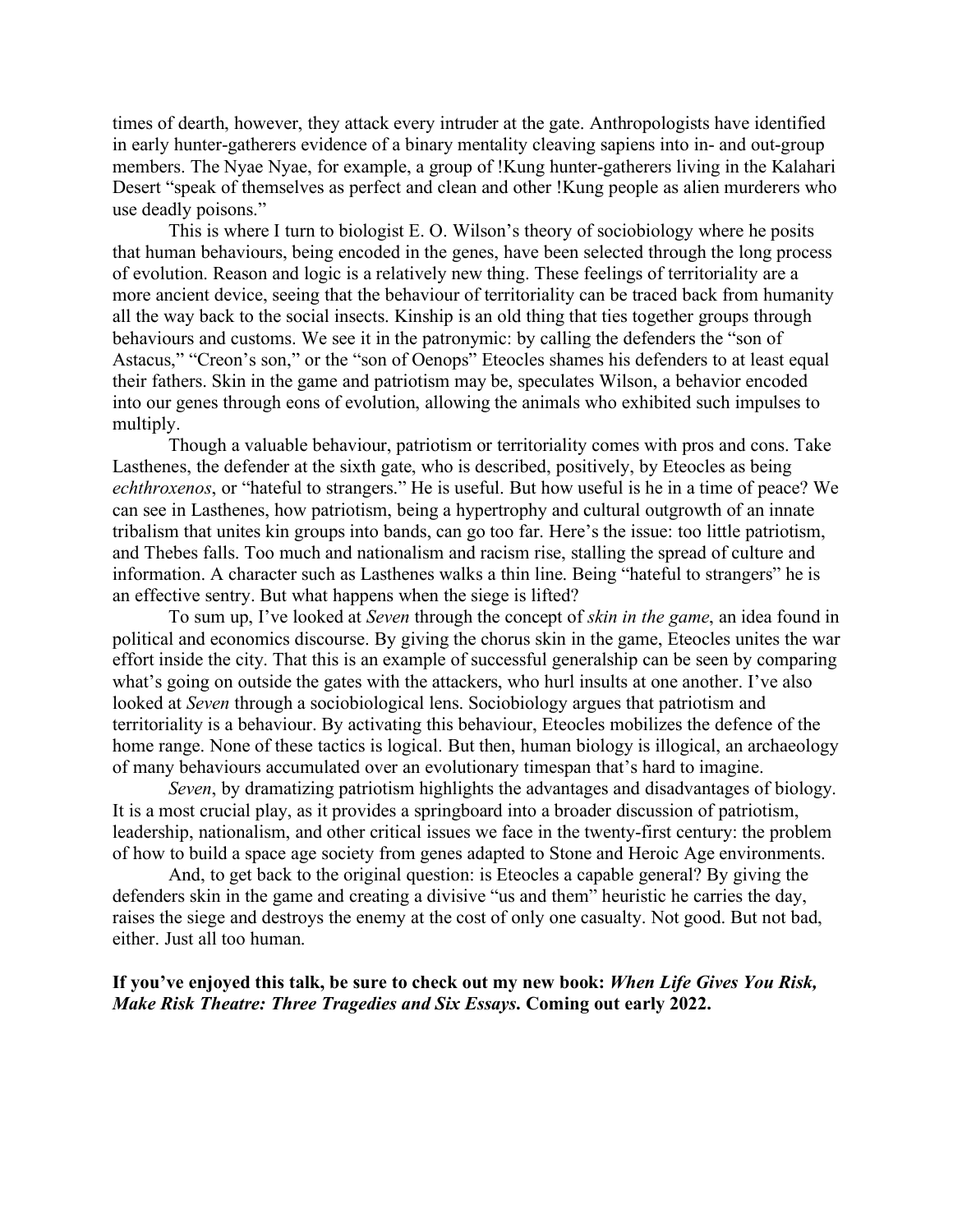times of dearth, however, they attack every intruder at the gate. Anthropologists have identified in early hunter-gatherers evidence of a binary mentality cleaving sapiens into in- and out-group members. The Nyae Nyae, for example, a group of !Kung hunter-gatherers living in the Kalahari Desert "speak of themselves as perfect and clean and other !Kung people as alien murderers who use deadly poisons."

This is where I turn to biologist E. O. Wilson's theory of sociobiology where he posits that human behaviours, being encoded in the genes, have been selected through the long process of evolution. Reason and logic is a relatively new thing. These feelings of territoriality are a more ancient device, seeing that the behaviour of territoriality can be traced back from humanity all the way back to the social insects. Kinship is an old thing that ties together groups through behaviours and customs. We see it in the patronymic: by calling the defenders the "son of Astacus," "Creon's son," or the "son of Oenops" Eteocles shames his defenders to at least equal their fathers. Skin in the game and patriotism may be, speculates Wilson, a behavior encoded into our genes through eons of evolution, allowing the animals who exhibited such impulses to multiply.

Though a valuable behaviour, patriotism or territoriality comes with pros and cons. Take Lasthenes, the defender at the sixth gate, who is described, positively, by Eteocles as being *echthroxenos*, or "hateful to strangers." He is useful. But how useful is he in a time of peace? We can see in Lasthenes, how patriotism, being a hypertrophy and cultural outgrowth of an innate tribalism that unites kin groups into bands, can go too far. Here's the issue: too little patriotism, and Thebes falls. Too much and nationalism and racism rise, stalling the spread of culture and information. A character such as Lasthenes walks a thin line. Being "hateful to strangers" he is an effective sentry. But what happens when the siege is lifted?

To sum up, I've looked at *Seven* through the concept of *skin in the game*, an idea found in political and economics discourse. By giving the chorus skin in the game, Eteocles unites the war effort inside the city. That this is an example of successful generalship can be seen by comparing what's going on outside the gates with the attackers, who hurl insults at one another. I've also looked at *Seven* through a sociobiological lens. Sociobiology argues that patriotism and territoriality is a behaviour. By activating this behaviour, Eteocles mobilizes the defence of the home range. None of these tactics is logical. But then, human biology is illogical, an archaeology of many behaviours accumulated over an evolutionary timespan that's hard to imagine.

*Seven*, by dramatizing patriotism highlights the advantages and disadvantages of biology. It is a most crucial play, as it provides a springboard into a broader discussion of patriotism, leadership, nationalism, and other critical issues we face in the twenty-first century: the problem of how to build a space age society from genes adapted to Stone and Heroic Age environments.

And, to get back to the original question: is Eteocles a capable general? By giving the defenders skin in the game and creating a divisive "us and them" heuristic he carries the day, raises the siege and destroys the enemy at the cost of only one casualty. Not good. But not bad, either. Just all too human.

**If you've enjoyed this talk, be sure to check out my new book:** *When Life Gives You Risk, Make Risk Theatre: Three Tragedies and Six Essays***. Coming out early 2022.**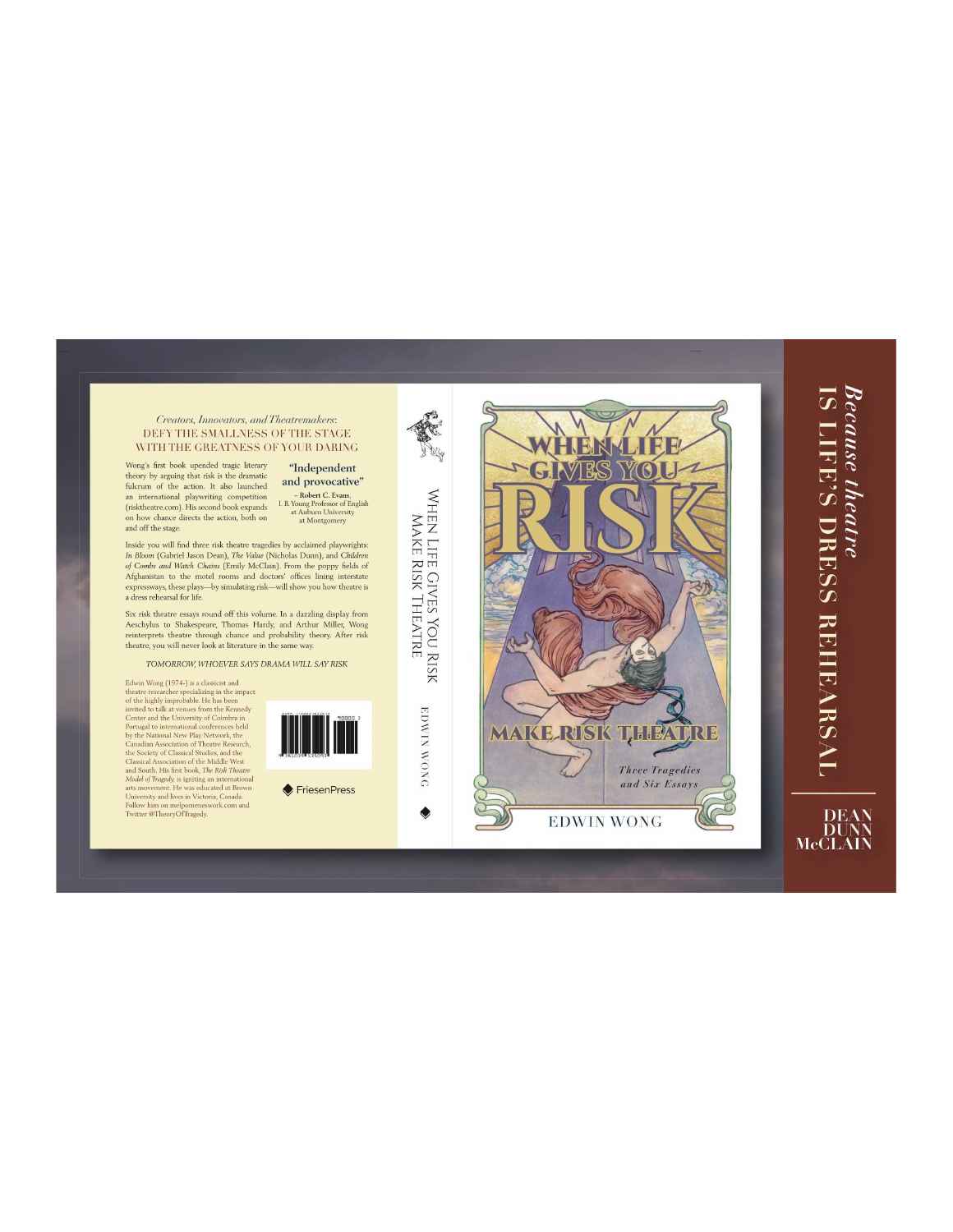Creators, Innovators, and Theatremakers: DEFY THE SMALLNESS OF THE STAGE WITH THE GREATNESS OF YOUR DARING

Wong's first book upended tragic literary theory by arguing that risk is the dramatic  $\begin{minipage}[c]{0.9\linewidth} \textbf{fulcrum of the action. It also launched} \\ \textbf{an international polymitting competition} \end{minipage}$ (risktheatre.com). His second book expands on how chance directs the action, both on and off the stage.

"Independent and provocative" - Robert C. Evans,<br>
I. B. Young Professor of English<br>
at Auburn University<br>
at Montgomery

Inside you will find three risk theatre tragedies by acclaimed playwrights: In Bloom (Gabriel Jason Dean), The Value (Nicholas Dunn), and Children *n town* (valuer *assum Demayr, the value* (watchs Dump), and *Canhaer*  $of$  *Combs and Watch Chains (Emily McClain). From the poppy fields of Afghanistan to the motel rooms and doctors' offices lining interstate express* 

Six risk theatre essays round off this volume. In a dazzling display from Aeschylus to Shakespeare, Thomas Hardy, and Arthur Miller, Wong reinterprets theatre through chance and probability theory. After risk thatre, you

TOMORROW, WHOEVER SAYS DRAMA WILL SAY RISK

Edwin Wong (1974-) is a classicist and Edwin Wong (1974-) is a classic<br>ist and theatre researcher specializing in the impact of the highly improbable.<br>He has been of the highly improbable. He has been of the bighly improbable. He has been complex<br>conter and th



FriesenPress



**EDWIN WONG** 

۰

 $R<sup>o</sup>$ G THEAT **RISK** MAKE **RIB Three Tragedies** and Six Essays **EDWIN WONG** 

## Because theatre<br>IS LIFE'S DRESS REHEARSAL